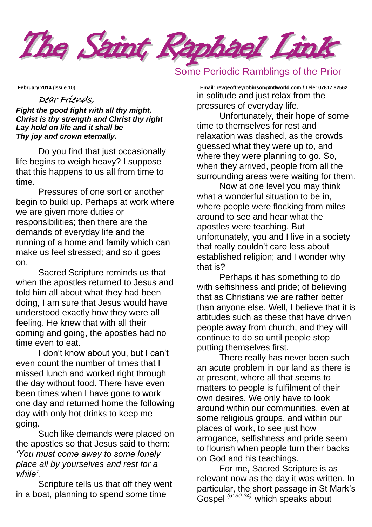

# Some Periodic Ramblings of the Prior

### Dear Friends,

*Fight the good fight with all thy might, Christ is thy strength and Christ thy right Lay hold on life and it shall be Thy joy and crown eternally.*

Do you find that just occasionally life begins to weigh heavy? I suppose that this happens to us all from time to time.

Pressures of one sort or another begin to build up. Perhaps at work where we are given more duties or responsibilities; then there are the demands of everyday life and the running of a home and family which can make us feel stressed; and so it goes on.

Sacred Scripture reminds us that when the apostles returned to Jesus and told him all about what they had been doing, I am sure that Jesus would have understood exactly how they were all feeling. He knew that with all their coming and going, the apostles had no time even to eat.

I don't know about you, but I can't even count the number of times that I missed lunch and worked right through the day without food. There have even been times when I have gone to work one day and returned home the following day with only hot drinks to keep me going.

Such like demands were placed on the apostles so that Jesus said to them: *'You must come away to some lonely place all by yourselves and rest for a while'*.

Scripture tells us that off they went in a boat, planning to spend some time

**February 2014** (Issue 10) **Email: [revgeoffreyrobinson@ntlworld.com](mailto:revgeoffreyrobinson@ntlworld.com) / Tele: 07817 82562** in solitude and just relax from the pressures of everyday life.

> Unfortunately, their hope of some time to themselves for rest and relaxation was dashed, as the crowds guessed what they were up to, and where they were planning to go. So, when they arrived, people from all the surrounding areas were waiting for them.

Now at one level you may think what a wonderful situation to be in. where people were flocking from miles around to see and hear what the apostles were teaching. But unfortunately, you and I live in a society that really couldn't care less about established religion; and I wonder why that is?

Perhaps it has something to do with selfishness and pride; of believing that as Christians we are rather better than anyone else. Well, I believe that it is attitudes such as these that have driven people away from church, and they will continue to do so until people stop putting themselves first.

There really has never been such an acute problem in our land as there is at present, where all that seems to matters to people is fulfilment of their own desires. We only have to look around within our communities, even at some religious groups, and within our places of work, to see just how arrogance, selfishness and pride seem to flourish when people turn their backs on God and his teachings.

For me, Sacred Scripture is as relevant now as the day it was written. In particular, the short passage in St Mark's Gospel *(6: 30-34),* which speaks about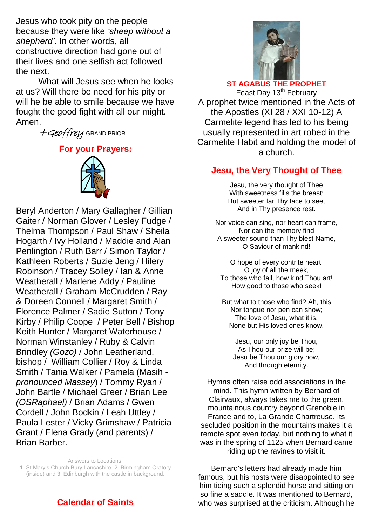Jesus who took pity on the people because they were like *'sheep without a shepherd'*. In other words, all constructive direction had gone out of their lives and one selfish act followed the next.

What will Jesus see when he looks at us? Will there be need for his pity or will he be able to smile because we have fought the good fight with all our might. Amen.

+Geoffrey GRAND PRIOR

**For your Prayers:** 



Beryl Anderton / Mary Gallagher / Gillian Gaiter / Norman Glover / Lesley Fudge / Thelma Thompson / Paul Shaw / Sheila Hogarth / Ivy Holland / Maddie and Alan Penlington / Ruth Barr / Simon Taylor / Kathleen Roberts / Suzie Jeng / Hilery Robinson / Tracey Solley / Ian & Anne Weatherall / Marlene Addy / Pauline Weatherall / Graham McCrudden / Ray & Doreen Connell / Margaret Smith / Florence Palmer / Sadie Sutton / Tony Kirby / Philip Coope / Peter Bell / Bishop Keith Hunter / Margaret Waterhouse / Norman Winstanley / Ruby & Calvin Brindley *(Gozo)* / John Leatherland, bishop / William Collier / Roy & Linda Smith / Tania Walker / Pamela (Masih *pronounced Massey*) / Tommy Ryan / John Bartle / Michael Greer / Brian Lee *(OSRaphael)* / Brian Adams / Gwen Cordell / John Bodkin / Leah Uttley / Paula Lester / Vicky Grimshaw / Patricia Grant / Elena Grady (and parents) / Brian Barber.

Answers to Locations: 1. St Mary's Church Bury Lancashire. 2. Birmingham Oratory (inside) and 3. Edinburgh with the castle in background.

# **Calendar of Saints**



### **ST AGABUS THE PROPHET**

Feast Day 13<sup>th</sup> February A prophet twice mentioned in the Acts of the Apostles (XI 28 / XXI 10-12) A Carmelite legend has led to his being usually represented in art robed in the Carmelite Habit and holding the model of a church.

### **Jesu, the Very Thought of Thee**

Jesu, the very thought of Thee With sweetness fills the breast; But sweeter far Thy face to see, And in Thy presence rest.

Nor voice can sing, nor heart can frame, Nor can the memory find A sweeter sound than Thy blest Name, O Saviour of mankind!

O hope of every contrite heart, O joy of all the meek, To those who fall, how kind Thou art! How good to those who seek!

But what to those who find? Ah, this Nor tongue nor pen can show; The love of Jesu, what it is, None but His loved ones know.

Jesu, our only joy be Thou, As Thou our prize will be; Jesu be Thou our glory now, And through eternity.

Hymns often raise odd associations in the mind. This hymn written by Bernard of Clairvaux, always takes me to the green, mountainous country beyond Grenoble in France and to, La Grande Chartreuse. Its secluded position in the mountains makes it a remote spot even today, but nothing to what it was in the spring of 1125 when Bernard came riding up the ravines to visit it.

Bernard's letters had already made him famous, but his hosts were disappointed to see him tiding such a splendid horse and sitting on so fine a saddle. It was mentioned to Bernard, who was surprised at the criticism. Although he